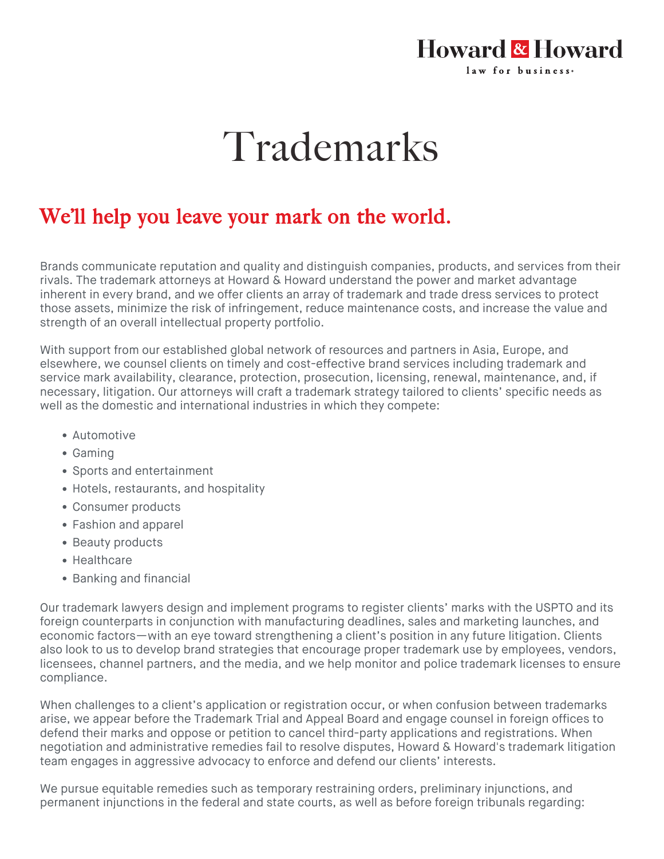## **Howard & Howard** law for business.

## Trademarks

## We'll help you leave your mark on the world.

Brands communicate reputation and quality and distinguish companies, products, and services from their rivals. The trademark attorneys at Howard & Howard understand the power and market advantage inherent in every brand, and we offer clients an array of trademark and trade dress services to protect those assets, minimize the risk of infringement, reduce maintenance costs, and increase the value and strength of an overall intellectual property portfolio.

With support from our established global network of resources and partners in Asia, Europe, and elsewhere, we counsel clients on timely and cost-effective brand services including trademark and service mark availability, clearance, protection, prosecution, licensing, renewal, maintenance, and, if necessary, litigation. Our attorneys will craft a trademark strategy tailored to clients' specific needs as well as the domestic and international industries in which they compete:

- Automotive
- Gaming
- Sports and entertainment
- Hotels, restaurants, and hospitality
- Consumer products
- Fashion and apparel
- Beauty products
- Healthcare
- Banking and financial

Our trademark lawyers design and implement programs to register clients' marks with the USPTO and its foreign counterparts in conjunction with manufacturing deadlines, sales and marketing launches, and economic factors—with an eye toward strengthening a client's position in any future litigation. Clients also look to us to develop brand strategies that encourage proper trademark use by employees, vendors, licensees, channel partners, and the media, and we help monitor and police trademark licenses to ensure compliance.

When challenges to a client's application or registration occur, or when confusion between trademarks arise, we appear before the Trademark Trial and Appeal Board and engage counsel in foreign offices to defend their marks and oppose or petition to cancel third-party applications and registrations. When negotiation and administrative remedies fail to resolve disputes, Howard & Howard's trademark litigation team engages in aggressive advocacy to enforce and defend our clients' interests.

We pursue equitable remedies such as temporary restraining orders, preliminary injunctions, and permanent injunctions in the federal and state courts, as well as before foreign tribunals regarding: